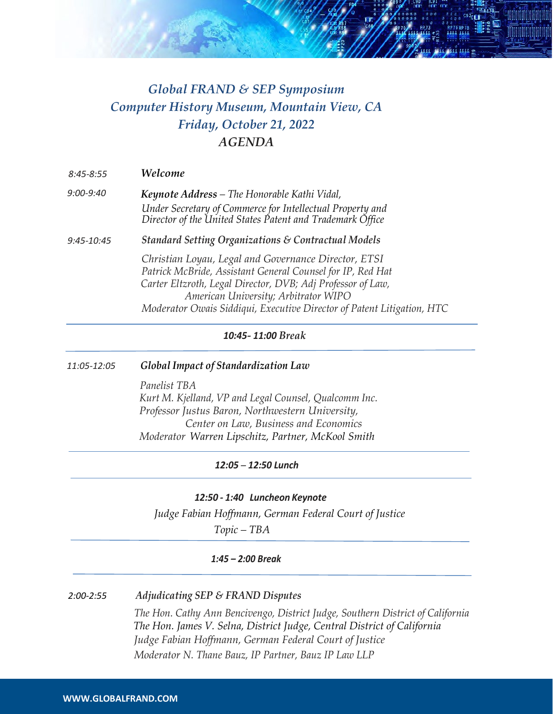

# *Global FRAND & SEP Symposium Computer History Museum, Mountain View, CA Friday, October 21, 2022 AGENDA*

| $8:45 - 8:55$ | Welcome                                                                                                                                                                                                                                                                                             |
|---------------|-----------------------------------------------------------------------------------------------------------------------------------------------------------------------------------------------------------------------------------------------------------------------------------------------------|
| 9:00-9:40     | Keynote Address – The Honorable Kathi Vidal,<br>Under Secretary of Commerce for Intellectual Property and<br>Director of the United States Patent and Trademark Office                                                                                                                              |
| 9:45-10:45    | <b>Standard Setting Organizations &amp; Contractual Models</b>                                                                                                                                                                                                                                      |
|               | Christian Loyau, Legal and Governance Director, ETSI<br>Patrick McBride, Assistant General Counsel for IP, Red Hat<br>Carter Eltzroth, Legal Director, DVB; Adj Professor of Law,<br>American University; Arbitrator WIPO<br>Moderator Owais Siddiqui, Executive Director of Patent Litigation, HTC |

### *10:45- 11:00 Break*

#### *11:05-12:05 Global Impact of Standardization Law*

*Panelist TBA Kurt M. Kjelland, VP and Legal Counsel, Qualcomm Inc. Professor Justus Baron, Northwestern University, Center on Law, Business and Economics Moderator Warren Lipschitz, Partner, McKool Smith*

### *12:05 – 12:50 Lunch*

### *12:50 - 1:40 Luncheon Keynote*

*Judge Fabian Hoffmann, German Federal Court of Justice*

 *Topic – TBA*

### *1:45 – 2:00 Break*

#### *2:00-2:55 Adjudicating SEP & FRAND Disputes*

*The Hon. Cathy Ann Bencivengo, District Judge, Southern District of California The Hon. James V. Selna, District Judge, Central District of California Judge Fabian Hoffmann, German Federal Court of Justice Moderator N. Thane Bauz, IP Partner, Bauz IP Law LLP*